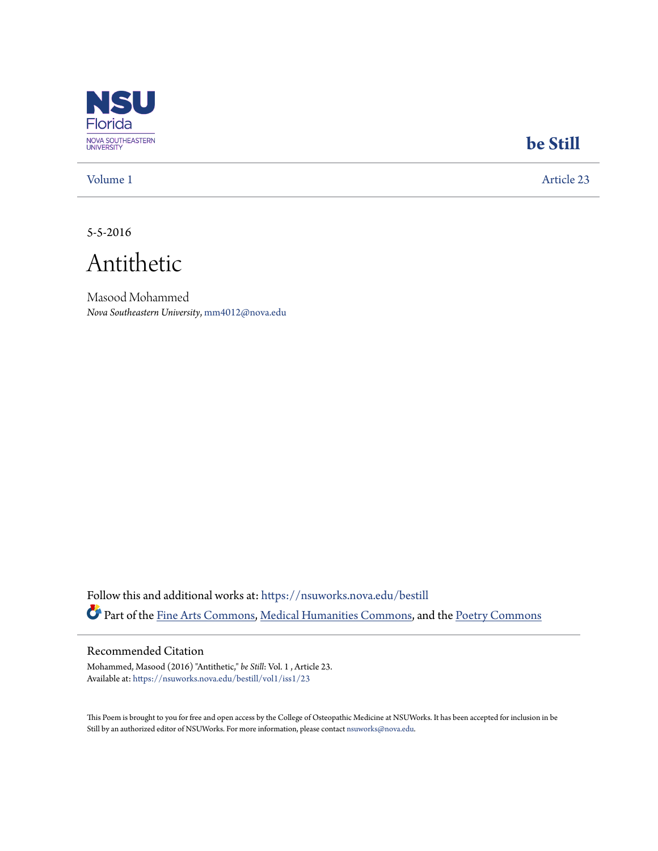

## **[be Still](https://nsuworks.nova.edu/bestill?utm_source=nsuworks.nova.edu%2Fbestill%2Fvol1%2Fiss1%2F23&utm_medium=PDF&utm_campaign=PDFCoverPages)**

[Volume 1](https://nsuworks.nova.edu/bestill/vol1?utm_source=nsuworks.nova.edu%2Fbestill%2Fvol1%2Fiss1%2F23&utm_medium=PDF&utm_campaign=PDFCoverPages) [Article 23](https://nsuworks.nova.edu/bestill/vol1/iss1/23?utm_source=nsuworks.nova.edu%2Fbestill%2Fvol1%2Fiss1%2F23&utm_medium=PDF&utm_campaign=PDFCoverPages)

5-5-2016

Antithetic

Masood Mohammed *Nova Southeastern University*, mm4012@nova.edu

Follow this and additional works at: [https://nsuworks.nova.edu/bestill](https://nsuworks.nova.edu/bestill?utm_source=nsuworks.nova.edu%2Fbestill%2Fvol1%2Fiss1%2F23&utm_medium=PDF&utm_campaign=PDFCoverPages) Part of the [Fine Arts Commons](http://network.bepress.com/hgg/discipline/1141?utm_source=nsuworks.nova.edu%2Fbestill%2Fvol1%2Fiss1%2F23&utm_medium=PDF&utm_campaign=PDFCoverPages), [Medical Humanities Commons](http://network.bepress.com/hgg/discipline/1303?utm_source=nsuworks.nova.edu%2Fbestill%2Fvol1%2Fiss1%2F23&utm_medium=PDF&utm_campaign=PDFCoverPages), and the [Poetry Commons](http://network.bepress.com/hgg/discipline/1153?utm_source=nsuworks.nova.edu%2Fbestill%2Fvol1%2Fiss1%2F23&utm_medium=PDF&utm_campaign=PDFCoverPages)

## Recommended Citation

Mohammed, Masood (2016) "Antithetic," *be Still*: Vol. 1 , Article 23. Available at: [https://nsuworks.nova.edu/bestill/vol1/iss1/23](https://nsuworks.nova.edu/bestill/vol1/iss1/23?utm_source=nsuworks.nova.edu%2Fbestill%2Fvol1%2Fiss1%2F23&utm_medium=PDF&utm_campaign=PDFCoverPages)

This Poem is brought to you for free and open access by the College of Osteopathic Medicine at NSUWorks. It has been accepted for inclusion in be Still by an authorized editor of NSUWorks. For more information, please contact [nsuworks@nova.edu](mailto:nsuworks@nova.edu).